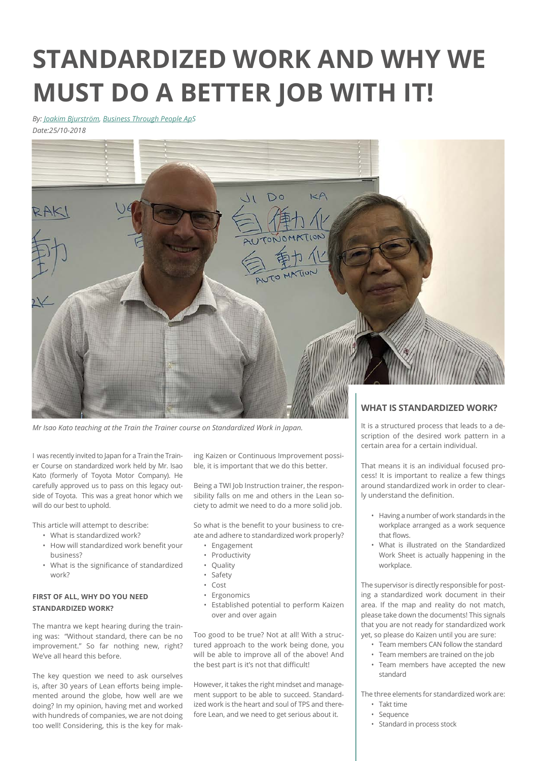# **STANDARDIZED WORK AND WHY WE MUST DO A BETTER JOB WITH IT!**

*By: [Joakim Bjurström,](https://btp.dk/eng/our-background/our-team/joakim-bjurstroem/) [Business Through People ApS](https://btp.dk/eng/) Date:25/10-2018*



*Mr Isao Kato teaching at the Train the Trainer course on Standardized Work in Japan.*

I was recently invited to Japan for a Train the Trainer Course on standardized work held by Mr. Isao Kato (formerly of Toyota Motor Company). He carefully approved us to pass on this legacy outside of Toyota. This was a great honor which we will do our best to uphold.

This article will attempt to describe:

- What is standardized work? • How will standardized work benefit your business?
- What is the significance of standardized work?

### **FIRST OF ALL, WHY DO YOU NEED STANDARDIZED WORK?**

The mantra we kept hearing during the training was: "Without standard, there can be no improvement." So far nothing new, right? We've all heard this before.

The key question we need to ask ourselves is, after 30 years of Lean efforts being implemented around the globe, how well are we doing? In my opinion, having met and worked with hundreds of companies, we are not doing too well! Considering, this is the key for making Kaizen or Continuous Improvement possible, it is important that we do this better.

Being a TWI Job Instruction trainer, the responsibility falls on me and others in the Lean society to admit we need to do a more solid job.

So what is the benefit to your business to create and adhere to standardized work properly?

- Engagement
- Productivity
- Quality
- Safety
- Cost
- Ergonomics
- Established potential to perform Kaizen over and over again

Too good to be true? Not at all! With a structured approach to the work being done, you will be able to improve all of the above! And the best part is it's not that difficult!

However, it takes the right mindset and management support to be able to succeed. Standardized work is the heart and soul of TPS and therefore Lean, and we need to get serious about it.

It is a structured process that leads to a description of the desired work pattern in a certain area for a certain individual.

That means it is an individual focused process! It is important to realize a few things around standardized work in order to clearly understand the definition.

- Having a number of work standards in the workplace arranged as a work sequence that flows.
- What is illustrated on the Standardized Work Sheet is actually happening in the workplace.

The supervisor is directly responsible for posting a standardized work document in their area. If the map and reality do not match, please take down the documents! This signals that you are not ready for standardized work yet, so please do Kaizen until you are sure:

- Team members CAN follow the standard
- Team members are trained on the job
- Team members have accepted the new standard

The three elements for standardized work are:

- Takt time
- Sequence
- Standard in process stock